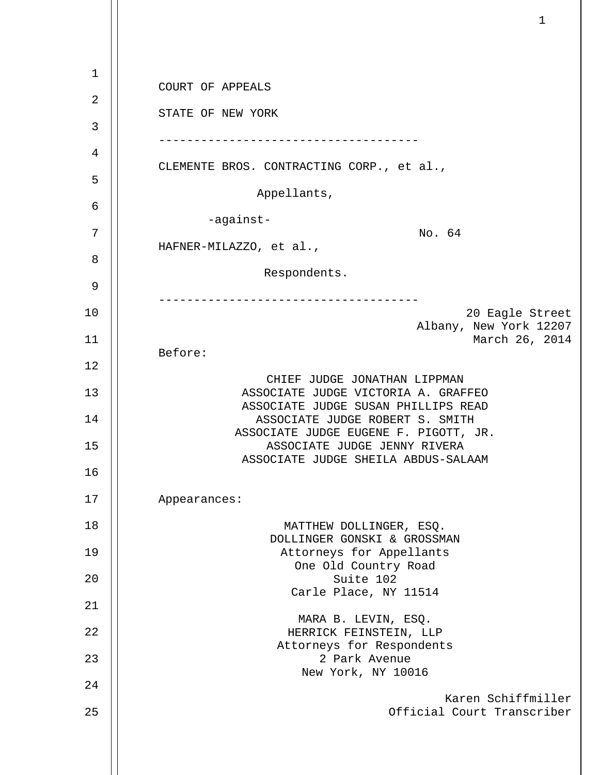| $\mathbf{1}$ | COURT OF APPEALS                                                       |
|--------------|------------------------------------------------------------------------|
| 2            |                                                                        |
| 3            | STATE OF NEW YORK                                                      |
| 4            |                                                                        |
| 5            | CLEMENTE BROS. CONTRACTING CORP., et al.,                              |
| 6            | Appellants,                                                            |
| 7            | -against-<br>No. 64                                                    |
| 8            | HAFNER-MILAZZO, et al.,                                                |
| 9            | Respondents.                                                           |
|              |                                                                        |
| 10           | 20 Eagle Street<br>Albany, New York 12207                              |
| 11           | March 26, 2014<br>Before:                                              |
| 12           |                                                                        |
| 13           | CHIEF JUDGE JONATHAN LIPPMAN<br>ASSOCIATE JUDGE VICTORIA A. GRAFFEO    |
| 14           | ASSOCIATE JUDGE SUSAN PHILLIPS READ<br>ASSOCIATE JUDGE ROBERT S. SMITH |
| 15           | ASSOCIATE JUDGE EUGENE F. PIGOTT, JR.<br>ASSOCIATE JUDGE JENNY RIVERA  |
| 16           | ASSOCIATE JUDGE SHEILA ABDUS-SALAAM                                    |
| 17           | Appearances:                                                           |
| 18           | MATTHEW DOLLINGER, ESQ.                                                |
| 19           | DOLLINGER GONSKI & GROSSMAN<br>Attorneys for Appellants                |
| 20           | One Old Country Road<br>Suite 102                                      |
| 21           | Carle Place, NY 11514                                                  |
| 22           | MARA B. LEVIN, ESQ.<br>HERRICK FEINSTEIN, LLP                          |
| 23           | Attorneys for Respondents<br>2 Park Avenue                             |
|              | New York, NY 10016                                                     |
| 24<br>25     | Karen Schiffmiller<br>Official Court Transcriber                       |
|              |                                                                        |
|              |                                                                        |

 $\mathbf{1}$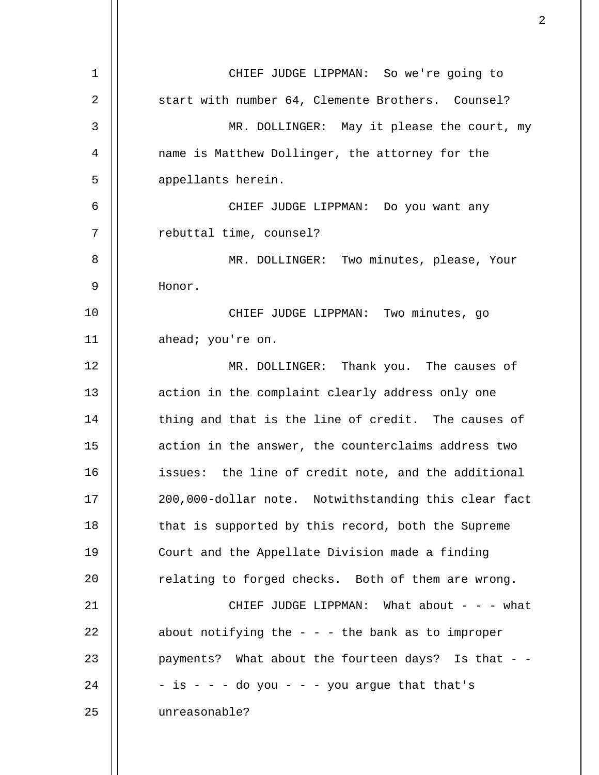| $\mathbf 1$ | CHIEF JUDGE LIPPMAN: So we're going to                |
|-------------|-------------------------------------------------------|
| 2           | start with number 64, Clemente Brothers. Counsel?     |
| 3           | MR. DOLLINGER: May it please the court, my            |
| 4           | name is Matthew Dollinger, the attorney for the       |
| 5           | appellants herein.                                    |
| 6           | CHIEF JUDGE LIPPMAN: Do you want any                  |
| 7           | rebuttal time, counsel?                               |
| 8           | MR. DOLLINGER: Two minutes, please, Your              |
| 9           | Honor.                                                |
| 10          | CHIEF JUDGE LIPPMAN: Two minutes, go                  |
| 11          | ahead; you're on.                                     |
| 12          | MR. DOLLINGER: Thank you. The causes of               |
| 13          | action in the complaint clearly address only one      |
| 14          | thing and that is the line of credit. The causes of   |
| 15          | action in the answer, the counterclaims address two   |
| 16          | issues: the line of credit note, and the additional   |
| 17          | 200,000-dollar note. Notwithstanding this clear fact  |
| 18          | that is supported by this record, both the Supreme    |
| 19          | Court and the Appellate Division made a finding       |
| 20          | relating to forged checks. Both of them are wrong.    |
| 21          | CHIEF JUDGE LIPPMAN: What about $-$ - $-$ what        |
| 22          | about notifying the $-$ - $-$ the bank as to improper |
| 23          | payments? What about the fourteen days? Is that - -   |
| 24          | - is - - - do you - - - you argue that that's         |
| 25          | unreasonable?                                         |
|             |                                                       |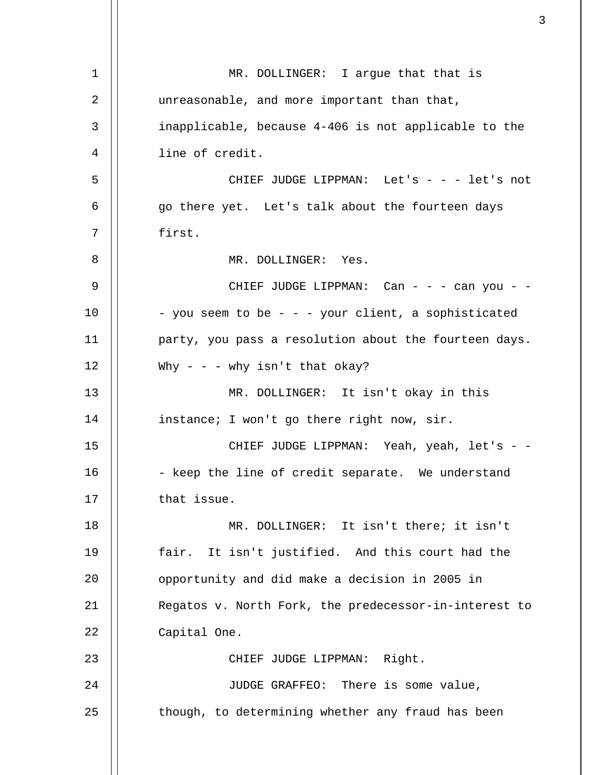| $\mathbf 1$    | MR. DOLLINGER: I argue that that is                   |
|----------------|-------------------------------------------------------|
| $\overline{2}$ | unreasonable, and more important than that,           |
| 3              | inapplicable, because 4-406 is not applicable to the  |
| 4              | line of credit.                                       |
| 5              | CHIEF JUDGE LIPPMAN: Let's - - - let's not            |
| 6              | go there yet. Let's talk about the fourteen days      |
| 7              | first.                                                |
| 8              | MR. DOLLINGER: Yes.                                   |
| 9              | CHIEF JUDGE LIPPMAN: Can - - - can you - -            |
| 10             | - you seem to be - - - your client, a sophisticated   |
| 11             | party, you pass a resolution about the fourteen days. |
| 12             | Why - - - why isn't that okay?                        |
| 13             | MR. DOLLINGER: It isn't okay in this                  |
| 14             | instance; I won't go there right now, sir.            |
| 15             | CHIEF JUDGE LIPPMAN: Yeah, yeah, let's - -            |
| 16             | - keep the line of credit separate. We understand     |
| 17             | that issue.                                           |
| 18             | MR. DOLLINGER: It isn't there; it isn't               |
| 19             | fair. It isn't justified. And this court had the      |
| 20             | opportunity and did make a decision in 2005 in        |
| 21             | Regatos v. North Fork, the predecessor-in-interest to |
| 22             | Capital One.                                          |
| 23             | CHIEF JUDGE LIPPMAN: Right.                           |
| 24             | JUDGE GRAFFEO: There is some value,                   |
| 25             | though, to determining whether any fraud has been     |
|                |                                                       |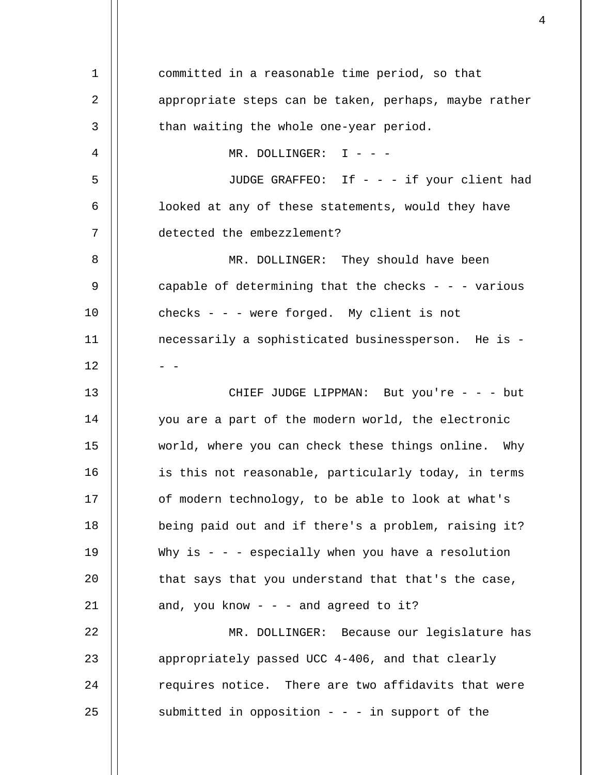| 1  | committed in a reasonable time period, so that        |
|----|-------------------------------------------------------|
| 2  | appropriate steps can be taken, perhaps, maybe rather |
| 3  | than waiting the whole one-year period.               |
| 4  | MR. DOLLINGER: $I - -$                                |
| 5  | JUDGE GRAFFEO: If - - - if your client had            |
| 6  | looked at any of these statements, would they have    |
| 7  | detected the embezzlement?                            |
| 8  | MR. DOLLINGER: They should have been                  |
| 9  | capable of determining that the checks - - - various  |
| 10 | checks - - - were forged. My client is not            |
| 11 | necessarily a sophisticated businessperson. He is -   |
| 12 |                                                       |
| 13 | CHIEF JUDGE LIPPMAN: But you're - - - but             |
| 14 | you are a part of the modern world, the electronic    |
| 15 | world, where you can check these things online. Why   |
| 16 | is this not reasonable, particularly today, in terms  |
| 17 | of modern technology, to be able to look at what's    |
| 18 | being paid out and if there's a problem, raising it?  |
| 19 | Why is $-$ - especially when you have a resolution    |
| 20 | that says that you understand that that's the case,   |
| 21 | and, you know - - - and agreed to it?                 |
| 22 | MR. DOLLINGER: Because our legislature has            |
| 23 | appropriately passed UCC 4-406, and that clearly      |
| 24 | requires notice. There are two affidavits that were   |
| 25 | submitted in opposition $-$ - - in support of the     |
|    |                                                       |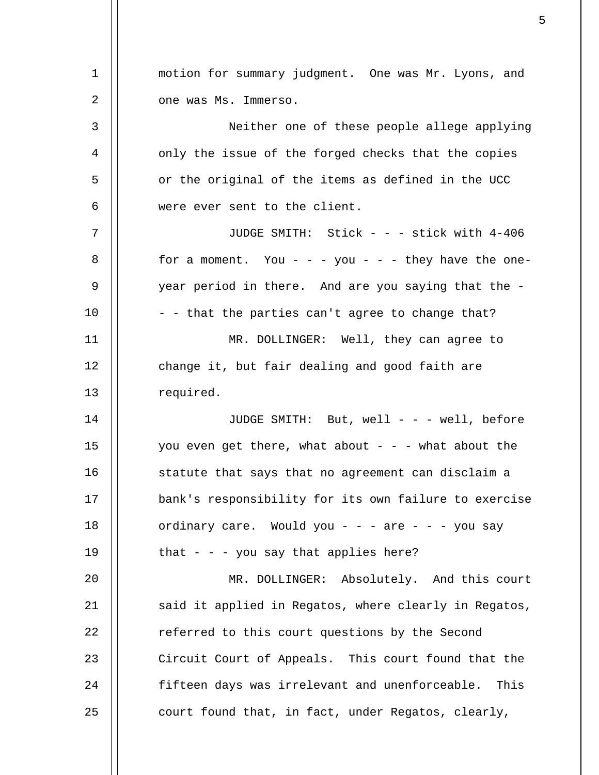| 1  | motion for summary judgment. One was Mr. Lyons, and   |
|----|-------------------------------------------------------|
| 2  | one was Ms. Immerso.                                  |
| 3  | Neither one of these people allege applying           |
| 4  | only the issue of the forged checks that the copies   |
| 5  | or the original of the items as defined in the UCC    |
| 6  | were ever sent to the client.                         |
| 7  | JUDGE SMITH: Stick - - - stick with 4-406             |
| 8  | for a moment. You - - - you - - - they have the one-  |
| 9  | year period in there. And are you saying that the -   |
| 10 | - - that the parties can't agree to change that?      |
| 11 | MR. DOLLINGER: Well, they can agree to                |
| 12 | change it, but fair dealing and good faith are        |
| 13 | required.                                             |
| 14 | JUDGE SMITH: But, well - - - well, before             |
| 15 | you even get there, what about - - - what about the   |
| 16 | statute that says that no agreement can disclaim a    |
| 17 | bank's responsibility for its own failure to exercise |
| 18 | ordinary care. Would you - - - are - - - you say      |
| 19 | that $-$ - $-$ you say that applies here?             |
| 20 | MR. DOLLINGER: Absolutely. And this court             |
| 21 | said it applied in Regatos, where clearly in Regatos, |
| 22 | referred to this court questions by the Second        |
| 23 | Circuit Court of Appeals. This court found that the   |
| 24 | fifteen days was irrelevant and unenforceable. This   |
| 25 | court found that, in fact, under Regatos, clearly,    |

 $\sim$  5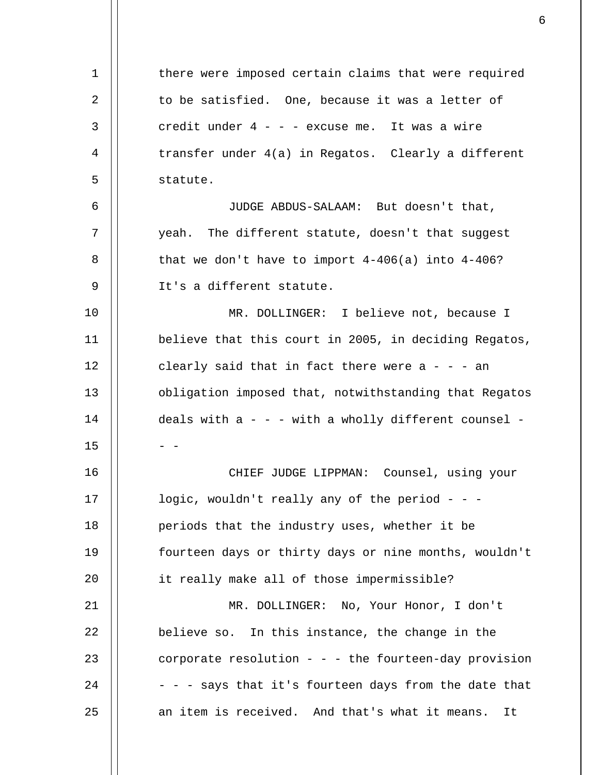1 2 3 4 5 6 7 8 9 10 11 12 13 14 15 16 17 18 19  $20^{\circ}$ 21 22 23 24 25 there were imposed certain claims that were required to be satisfied. One, because it was a letter of credit under  $4 - -$  - excuse me. It was a wire transfer under 4(a) in Regatos. Clearly a different statute. JUDGE ABDUS-SALAAM: But doesn't that, yeah. The different statute, doesn't that suggest that we don't have to import  $4-406(a)$  into  $4-406$ ? It's a different statute. MR. DOLLINGER: I believe not, because I believe that this court in 2005, in deciding Regatos, clearly said that in fact there were  $a - - a$ n obligation imposed that, notwithstanding that Regatos deals with  $a - -$  with a wholly different counsel - $-$ CHIEF JUDGE LIPPMAN: Counsel, using your logic, wouldn't really any of the period  $-$  periods that the industry uses, whether it be fourteen days or thirty days or nine months, wouldn't it really make all of those impermissible? MR. DOLLINGER: No, Your Honor, I don't believe so. In this instance, the change in the corporate resolution - - - the fourteen-day provision - - - says that it's fourteen days from the date that an item is received. And that's what it means. It

 $\sim$  6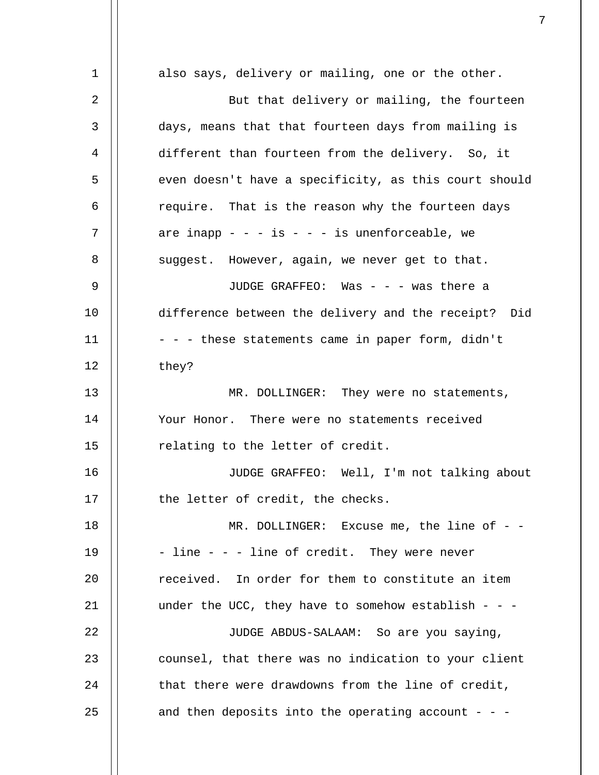| 1  | also says, delivery or mailing, one or the other.     |
|----|-------------------------------------------------------|
| 2  | But that delivery or mailing, the fourteen            |
| 3  | days, means that that fourteen days from mailing is   |
| 4  | different than fourteen from the delivery. So, it     |
| 5  | even doesn't have a specificity, as this court should |
| 6  | require. That is the reason why the fourteen days     |
| 7  | are inapp - - - is - - - is unenforceable, we         |
| 8  | suggest. However, again, we never get to that.        |
| 9  | JUDGE GRAFFEO: Was - - - was there a                  |
| 10 | difference between the delivery and the receipt? Did  |
| 11 | - - - these statements came in paper form, didn't     |
| 12 | they?                                                 |
| 13 | MR. DOLLINGER: They were no statements,               |
| 14 | Your Honor. There were no statements received         |
| 15 | relating to the letter of credit.                     |
| 16 | JUDGE GRAFFEO: Well, I'm not talking about            |
| 17 | the letter of credit, the checks.                     |
| 18 | MR. DOLLINGER: Excuse me, the line of - -             |
| 19 | - line - - - line of credit. They were never          |
| 20 | received. In order for them to constitute an item     |
| 21 | under the UCC, they have to somehow establish - - -   |
| 22 | JUDGE ABDUS-SALAAM: So are you saying,                |
| 23 | counsel, that there was no indication to your client  |
| 24 | that there were drawdowns from the line of credit,    |
| 25 | and then deposits into the operating account - - -    |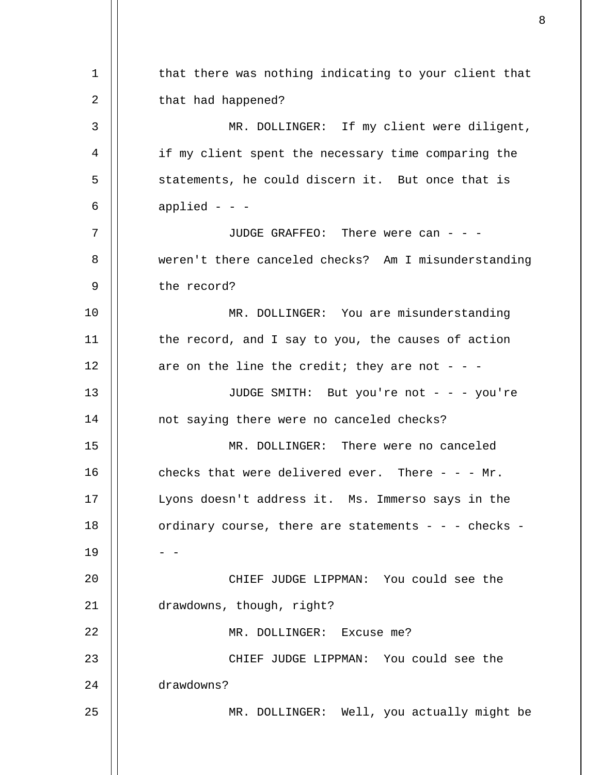1 2 3 4 5 6 7 8 9 10 11 12 13 14 15 16 17 18 19  $20^{\circ}$ 21 22 23 24 25 that there was nothing indicating to your client that that had happened? MR. DOLLINGER: If my client were diligent, if my client spent the necessary time comparing the statements, he could discern it. But once that is applied  $-$ JUDGE GRAFFEO: There were can - - weren't there canceled checks? Am I misunderstanding the record? MR. DOLLINGER: You are misunderstanding the record, and I say to you, the causes of action are on the line the credit; they are not - - -JUDGE SMITH: But you're not - - - you're not saying there were no canceled checks? MR. DOLLINGER: There were no canceled checks that were delivered ever. There  $- - - Mr$ . Lyons doesn't address it. Ms. Immerso says in the ordinary course, there are statements - - - checks -  $-$ CHIEF JUDGE LIPPMAN: You could see the drawdowns, though, right? MR. DOLLINGER: Excuse me? CHIEF JUDGE LIPPMAN: You could see the drawdowns? MR. DOLLINGER: Well, you actually might be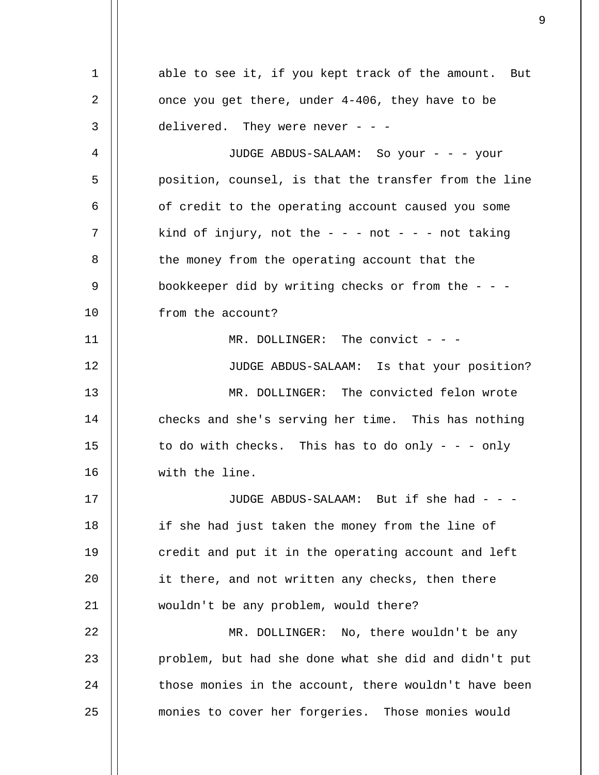1 2 3 4 5 6 7 8 9 10 11 12 13 14 15 16 17 18 19  $20^{\circ}$ 21 22 23 24 25 able to see it, if you kept track of the amount. But once you get there, under 4-406, they have to be delivered. They were never - - -JUDGE ABDUS-SALAAM: So your - - - your position, counsel, is that the transfer from the line of credit to the operating account caused you some kind of injury, not the  $- -$  - not  $- -$  not taking the money from the operating account that the bookkeeper did by writing checks or from the  $-$  from the account? MR. DOLLINGER: The convict - - -JUDGE ABDUS-SALAAM: Is that your position? MR. DOLLINGER: The convicted felon wrote checks and she's serving her time. This has nothing to do with checks. This has to do only  $- - -$  only with the line. JUDGE ABDUS-SALAAM: But if she had - - if she had just taken the money from the line of credit and put it in the operating account and left it there, and not written any checks, then there wouldn't be any problem, would there? MR. DOLLINGER: No, there wouldn't be any problem, but had she done what she did and didn't put those monies in the account, there wouldn't have been monies to cover her forgeries. Those monies would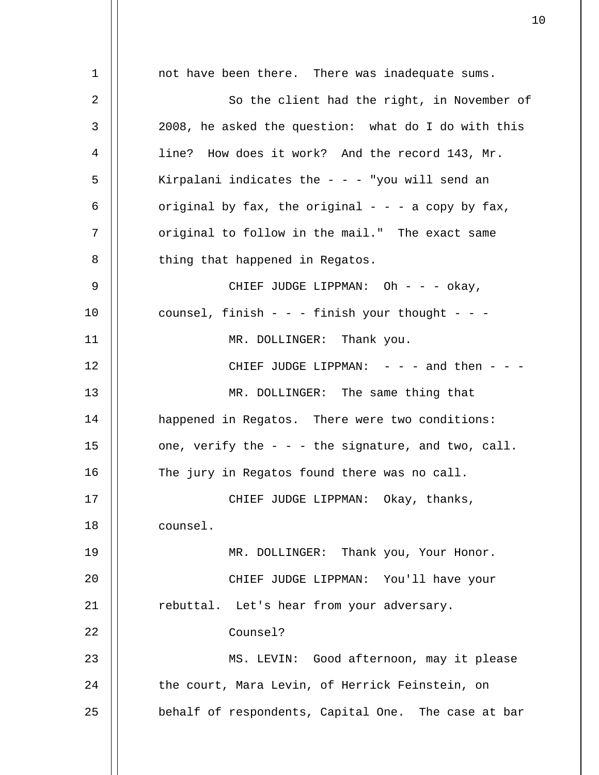1 2 3 4 5 6 7 8 9 10 11 12 13 14 15 16 17 18 19 20 21 22 23 24 25 not have been there. There was inadequate sums. So the client had the right, in November of 2008, he asked the question: what do I do with this line? How does it work? And the record 143, Mr. Kirpalani indicates the  $- -$  - "you will send an original by fax, the original  $- - -$  a copy by fax, original to follow in the mail." The exact same thing that happened in Regatos. CHIEF JUDGE LIPPMAN: Oh - - - okay, counsel, finish - - - finish your thought - - - MR. DOLLINGER: Thank you. CHIEF JUDGE LIPPMAN:  $-$  -  $-$  and then -  $-$ MR. DOLLINGER: The same thing that happened in Regatos. There were two conditions: one, verify the  $-$  -  $-$  the signature, and two, call. The jury in Regatos found there was no call. CHIEF JUDGE LIPPMAN: Okay, thanks, counsel. MR. DOLLINGER: Thank you, Your Honor. CHIEF JUDGE LIPPMAN: You'll have your rebuttal. Let's hear from your adversary. Counsel? MS. LEVIN: Good afternoon, may it please the court, Mara Levin, of Herrick Feinstein, on behalf of respondents, Capital One. The case at bar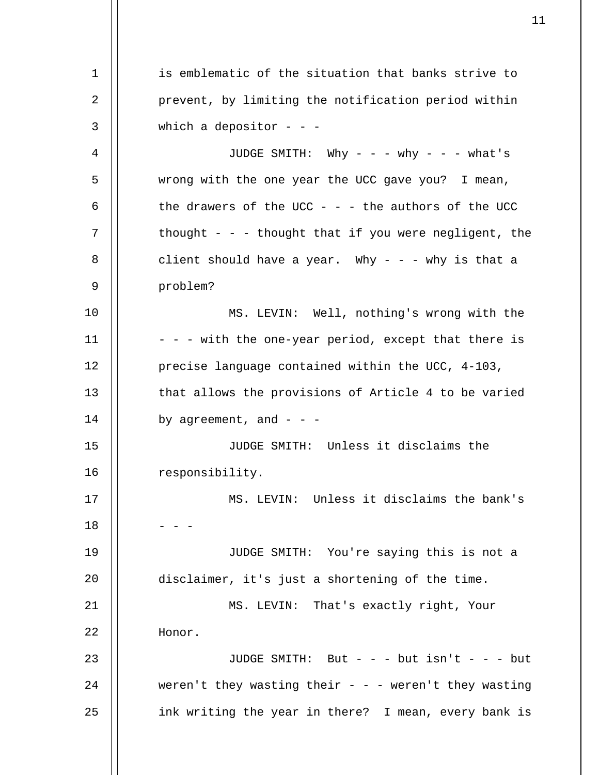1 2 3 4 5 6 7 8 9 10 11 12 13 14 15 16 17 18 19 20 21 22 23 24 25 is emblematic of the situation that banks strive to prevent, by limiting the notification period within which a depositor  $- -$ JUDGE SMITH: Why - - - why - - - what's wrong with the one year the UCC gave you? I mean, the drawers of the UCC - - - the authors of the UCC thought - - - thought that if you were negligent, the client should have a year. Why  $-$  -  $-$  why is that a problem? MS. LEVIN: Well, nothing's wrong with the - - - with the one-year period, except that there is precise language contained within the UCC, 4-103, that allows the provisions of Article 4 to be varied by agreement, and  $-$  -  $-$ JUDGE SMITH: Unless it disclaims the responsibility. MS. LEVIN: Unless it disclaims the bank's - - - JUDGE SMITH: You're saying this is not a disclaimer, it's just a shortening of the time. MS. LEVIN: That's exactly right, Your Honor. JUDGE SMITH: But  $-$  but isn't  $-$  but weren't they wasting their - - - weren't they wasting ink writing the year in there? I mean, every bank is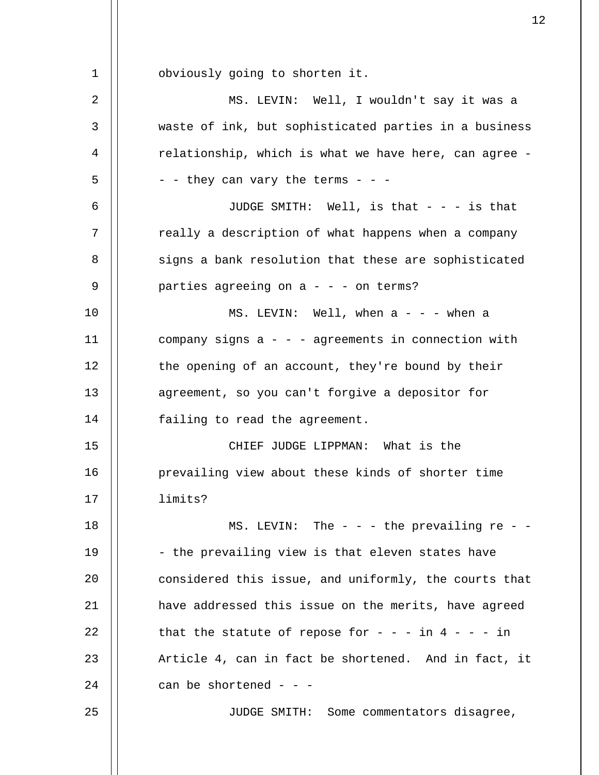1 2 3 4 5 6 7 8 9 10 11 12 13 14 15 16 17 18 19  $20^{\circ}$ 21 22 23 24 25 obviously going to shorten it. MS. LEVIN: Well, I wouldn't say it was a waste of ink, but sophisticated parties in a business relationship, which is what we have here, can agree -  $-$  - they can vary the terms - - -JUDGE SMITH: Well, is that  $- - i$ s that really a description of what happens when a company signs a bank resolution that these are sophisticated parties agreeing on  $a - - -$  on terms? MS. LEVIN: Well, when  $a - - -$  when a company signs  $a - -$  - agreements in connection with the opening of an account, they're bound by their agreement, so you can't forgive a depositor for failing to read the agreement. CHIEF JUDGE LIPPMAN: What is the prevailing view about these kinds of shorter time limits? MS. LEVIN: The  $-$  -  $-$  the prevailing re -  $-$ - the prevailing view is that eleven states have considered this issue, and uniformly, the courts that have addressed this issue on the merits, have agreed that the statute of repose for  $- - -$  in  $4 - - -$  in Article 4, can in fact be shortened. And in fact, it can be shortened  $-$  -  $-$ JUDGE SMITH: Some commentators disagree,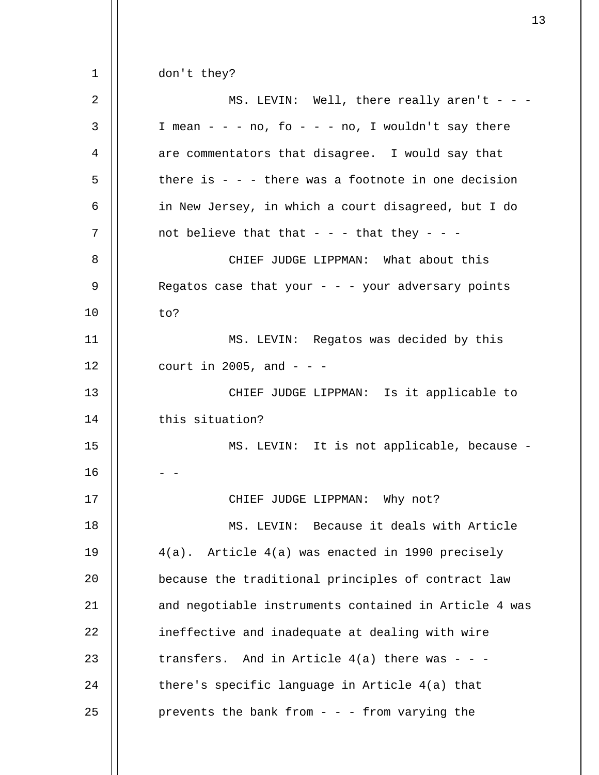1 2 3 4 5 6 7 8 9 10 11 12 13 14 15 16 17 18 19  $20^{\circ}$ 21 22 23 24 25 don't they? MS. LEVIN: Well, there really aren't  $-$  -I mean - - - no, fo - - - no, I wouldn't say there are commentators that disagree. I would say that there is  $-$  -  $-$  there was a footnote in one decision in New Jersey, in which a court disagreed, but I do not believe that that - - - that they - - -CHIEF JUDGE LIPPMAN: What about this Regatos case that your  $-$  -  $-$  your adversary points to? MS. LEVIN: Regatos was decided by this court in 2005, and  $-$  -  $-$ CHIEF JUDGE LIPPMAN: Is it applicable to this situation? MS. LEVIN: It is not applicable, because -  $-$ CHIEF JUDGE LIPPMAN: Why not? MS. LEVIN: Because it deals with Article 4(a). Article 4(a) was enacted in 1990 precisely because the traditional principles of contract law and negotiable instruments contained in Article 4 was ineffective and inadequate at dealing with wire transfers. And in Article  $4(a)$  there was - - there's specific language in Article 4(a) that prevents the bank from  $-$  -  $-$  from varying the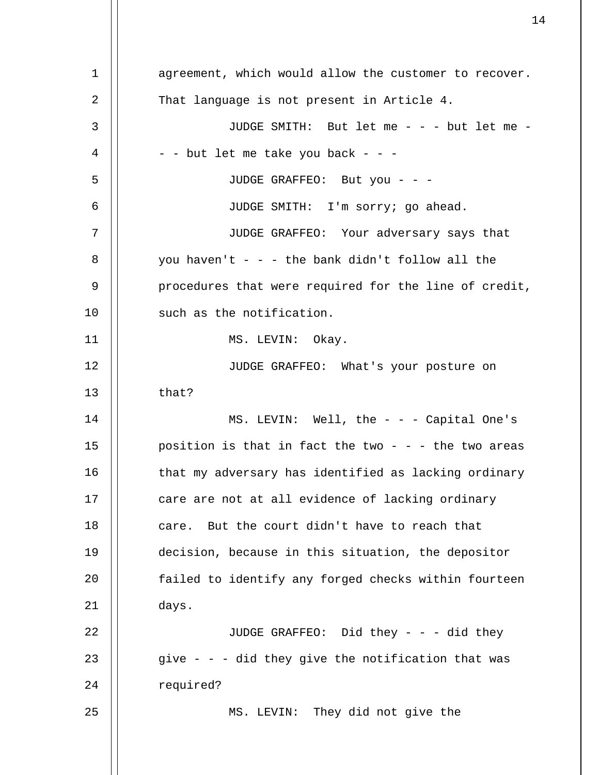1 2 3 4 5 6 7 8 9 10 11 12 13 14 15 16 17 18 19  $20^{\circ}$ 21 22 23 24 25 agreement, which would allow the customer to recover. That language is not present in Article 4. JUDGE SMITH: But let me - - - but let me - - - but let me take you back - - -JUDGE GRAFFEO: But you - - -JUDGE SMITH: I'm sorry; go ahead. JUDGE GRAFFEO: Your adversary says that you haven't  $-$  -  $-$  the bank didn't follow all the procedures that were required for the line of credit, such as the notification. MS. LEVIN: Okay. JUDGE GRAFFEO: What's your posture on that? MS. LEVIN: Well, the - - - Capital One's position is that in fact the two  $-$  -  $-$  the two areas that my adversary has identified as lacking ordinary care are not at all evidence of lacking ordinary care. But the court didn't have to reach that decision, because in this situation, the depositor failed to identify any forged checks within fourteen days. JUDGE GRAFFEO: Did they - - - did they give  $-$  -  $-$  did they give the notification that was required? MS. LEVIN: They did not give the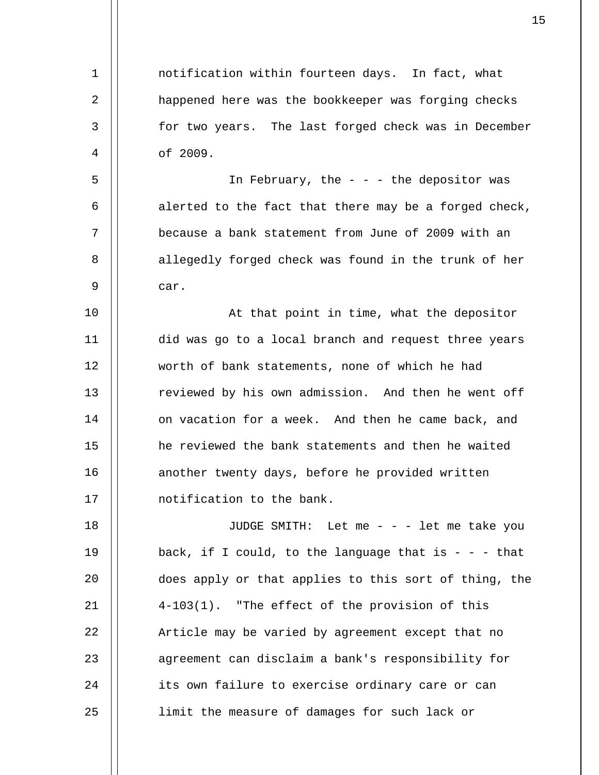1 2 3 4 5 6 7 8 9 10 11 12 13 14 15 16 17 18 19  $20^{\circ}$ 21 22 23 24 25 notification within fourteen days. In fact, what happened here was the bookkeeper was forging checks for two years. The last forged check was in December of 2009. In February, the  $-$  -  $-$  the depositor was alerted to the fact that there may be a forged check, because a bank statement from June of 2009 with an allegedly forged check was found in the trunk of her car. At that point in time, what the depositor did was go to a local branch and request three years worth of bank statements, none of which he had reviewed by his own admission. And then he went off on vacation for a week. And then he came back, and he reviewed the bank statements and then he waited another twenty days, before he provided written notification to the bank. JUDGE SMITH: Let me - - - let me take you back, if I could, to the language that is  $- -$  - that does apply or that applies to this sort of thing, the 4-103(1). "The effect of the provision of this Article may be varied by agreement except that no agreement can disclaim a bank's responsibility for its own failure to exercise ordinary care or can limit the measure of damages for such lack or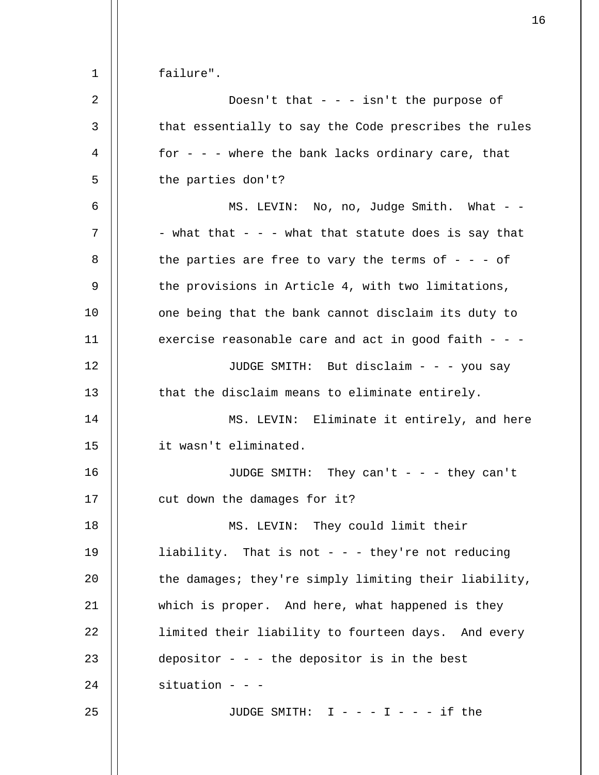failure".

1

| $\overline{2}$ | Doesn't that $- - i$ isn't the purpose of              |
|----------------|--------------------------------------------------------|
| 3              | that essentially to say the Code prescribes the rules  |
| 4              | for - - - where the bank lacks ordinary care, that     |
| 5              | the parties don't?                                     |
| 6              | MS. LEVIN: No, no, Judge Smith. What - -               |
| 7              | - what that - - - what that statute does is say that   |
| 8              | the parties are free to vary the terms of $-$ - $-$ of |
| 9              | the provisions in Article 4, with two limitations,     |
| 10             | one being that the bank cannot disclaim its duty to    |
| 11             | exercise reasonable care and act in good faith - - -   |
| 12             | JUDGE SMITH: But disclaim - - - you say                |
| 13             | that the disclaim means to eliminate entirely.         |
| 14             | MS. LEVIN: Eliminate it entirely, and here             |
|                |                                                        |
| 15             | it wasn't eliminated.                                  |
| 16             | JUDGE SMITH: They can't - - - they can't               |
| 17             | cut down the damages for it?                           |
| $18\,$         | MS. LEVIN: They could limit their                      |
| 19             | liability. That is not - - - they're not reducing      |
| 20             | the damages; they're simply limiting their liability,  |
| 21             | which is proper. And here, what happened is they       |
| 22             | limited their liability to fourteen days. And every    |
| 23             | depositor - - - the depositor is in the best           |
| 24             | situation - - -                                        |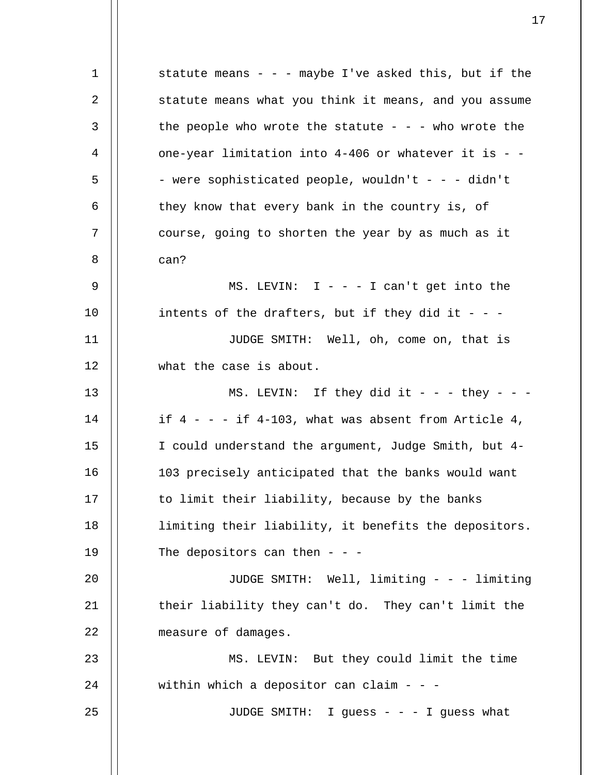1 2 3 4 5 6 7 8 9 10 11 12 13 14 15 16 17 18 19 20 21 22 23 24 25 statute means - - - maybe I've asked this, but if the statute means what you think it means, and you assume the people who wrote the statute  $- - -$  who wrote the one-year limitation into  $4-406$  or whatever it is - -- were sophisticated people, wouldn't - - - didn't they know that every bank in the country is, of course, going to shorten the year by as much as it can? MS. LEVIN:  $I - - I$  can't get into the intents of the drafters, but if they did it - - -JUDGE SMITH: Well, oh, come on, that is what the case is about. MS. LEVIN: If they did it - - - they - - if  $4 - - -$  if  $4-103$ , what was absent from Article  $4$ , I could understand the argument, Judge Smith, but 4- 103 precisely anticipated that the banks would want to limit their liability, because by the banks limiting their liability, it benefits the depositors. The depositors can then  $-$  -  $-$ JUDGE SMITH: Well, limiting - - - limiting their liability they can't do. They can't limit the measure of damages. MS. LEVIN: But they could limit the time within which a depositor can claim  $- -$ JUDGE SMITH: I guess - - - I guess what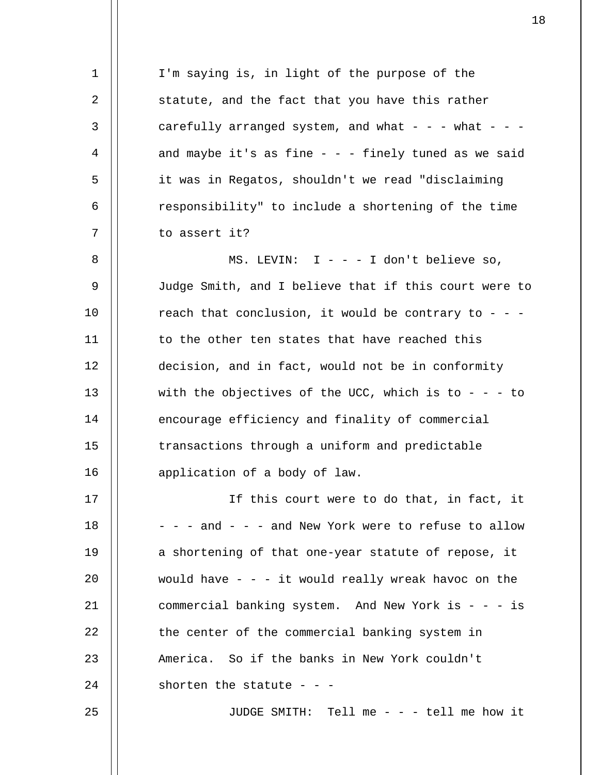1 2 3 4 5 6 7 8 9 10 11 12 13 14 15 16 17 18 19  $20^{\circ}$ 21 22 I'm saying is, in light of the purpose of the statute, and the fact that you have this rather carefully arranged system, and what - - - what - - and maybe it's as fine  $-$  - - finely tuned as we said it was in Regatos, shouldn't we read "disclaiming responsibility" to include a shortening of the time to assert it? MS. LEVIN:  $I - - - I$  don't believe so, Judge Smith, and I believe that if this court were to reach that conclusion, it would be contrary to - - to the other ten states that have reached this decision, and in fact, would not be in conformity with the objectives of the UCC, which is to - - - to encourage efficiency and finality of commercial transactions through a uniform and predictable application of a body of law. If this court were to do that, in fact, it - - - and - - - and New York were to refuse to allow a shortening of that one-year statute of repose, it would have  $-$  -  $-$  it would really wreak havoc on the commercial banking system. And New York is - - - is the center of the commercial banking system in

America. So if the banks in New York couldn't

24 shorten the statute  $-$  -  $-$ 

23

25

JUDGE SMITH: Tell me - - - tell me how it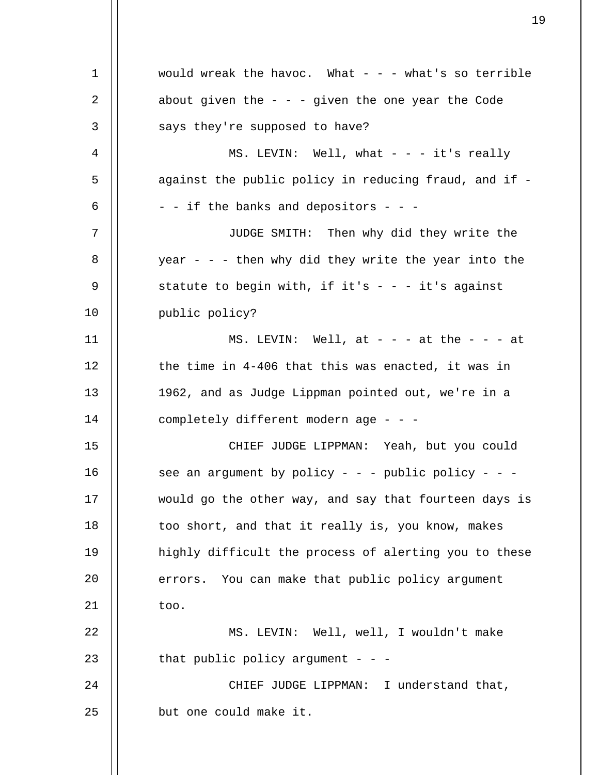| $\mathbf 1$ | would wreak the havoc. What $-$ - what's so terrible  |
|-------------|-------------------------------------------------------|
| 2           | about given the $-$ - $-$ given the one year the Code |
| 3           | says they're supposed to have?                        |
| 4           | MS. LEVIN: Well, what $- - - i t$ 's really           |
| 5           | against the public policy in reducing fraud, and if - |
| 6           | - - if the banks and depositors - - -                 |
| 7           | JUDGE SMITH: Then why did they write the              |
| 8           | year - - - then why did they write the year into the  |
| 9           | statute to begin with, if it's - - - it's against     |
| 10          | public policy?                                        |
| 11          | MS. LEVIN: Well, at $ -$ at the $ -$ at               |
| 12          | the time in 4-406 that this was enacted, it was in    |
| 13          | 1962, and as Judge Lippman pointed out, we're in a    |
| 14          | completely different modern age - - -                 |
| 15          | CHIEF JUDGE LIPPMAN: Yeah, but you could              |
| 16          | see an argument by policy - - - public policy - - -   |
| 17          | would go the other way, and say that fourteen days is |
| 18          | too short, and that it really is, you know, makes     |
| 19          | highly difficult the process of alerting you to these |
| 20          | errors. You can make that public policy argument      |
| 21          | too.                                                  |
| 22          | MS. LEVIN: Well, well, I wouldn't make                |
| 23          | that public policy argument - - -                     |
| 24          | CHIEF JUDGE LIPPMAN: I understand that,               |
| 25          | but one could make it.                                |
|             |                                                       |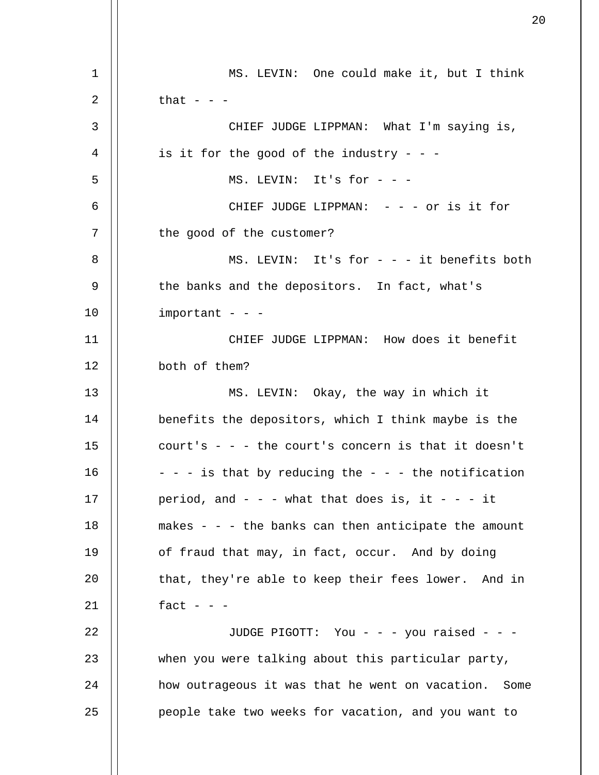1 2 3 4 5 6 7 8 9 10 11 12 13 14 15 16 17 18 19 20 21 22 23 24 25 MS. LEVIN: One could make it, but I think that  $-$ CHIEF JUDGE LIPPMAN: What I'm saying is, is it for the good of the industry - - -MS. LEVIN: It's for - - - CHIEF JUDGE LIPPMAN: - - - or is it for the good of the customer? MS. LEVIN: It's for  $-$  it benefits both the banks and the depositors. In fact, what's  $important$  - - -CHIEF JUDGE LIPPMAN: How does it benefit both of them? MS. LEVIN: Okay, the way in which it benefits the depositors, which I think maybe is the court's  $-$  -  $-$  the court's concern is that it doesn't  $-$  -  $-$  is that by reducing the  $-$  -  $-$  the notification period, and  $- -$  - what that does is, it  $- -$  it makes - - - the banks can then anticipate the amount of fraud that may, in fact, occur. And by doing that, they're able to keep their fees lower. And in fact  $- -$ JUDGE PIGOTT: You - - - you raised - - when you were talking about this particular party, how outrageous it was that he went on vacation. Some people take two weeks for vacation, and you want to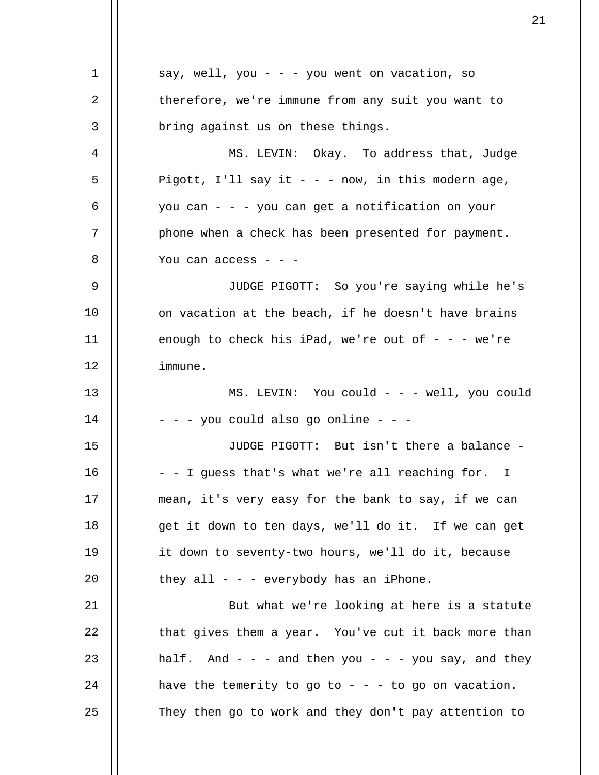| 1  | say, well, you - - - you went on vacation, so                |
|----|--------------------------------------------------------------|
| 2  | therefore, we're immune from any suit you want to            |
| 3  | bring against us on these things.                            |
| 4  | MS. LEVIN: Okay. To address that, Judge                      |
| 5  | Pigott, I'll say it - - - now, in this modern age,           |
| 6  | you can - - - you can get a notification on your             |
| 7  | phone when a check has been presented for payment.           |
| 8  | You can access $ -$                                          |
| 9  | JUDGE PIGOTT: So you're saying while he's                    |
| 10 | on vacation at the beach, if he doesn't have brains          |
| 11 | enough to check his iPad, we're out of $- -$ we're           |
| 12 | immune.                                                      |
| 13 | MS. LEVIN: You could - - - well, you could                   |
| 14 | - - - you could also go online - - -                         |
| 15 | JUDGE PIGOTT: But isn't there a balance -                    |
| 16 | - - I guess that's what we're all reaching for. I            |
| 17 | mean, it's very easy for the bank to say, if we can          |
| 18 | get it down to ten days, we'll do it. If we can get          |
| 19 | it down to seventy-two hours, we'll do it, because           |
| 20 | they all - - - everybody has an iPhone.                      |
| 21 | But what we're looking at here is a statute                  |
| 22 | that gives them a year. You've cut it back more than         |
| 23 | half. And $-$ - $-$ and then you $-$ - $-$ you say, and they |
| 24 | have the temerity to go to - - - to go on vacation.          |
| 25 | They then go to work and they don't pay attention to         |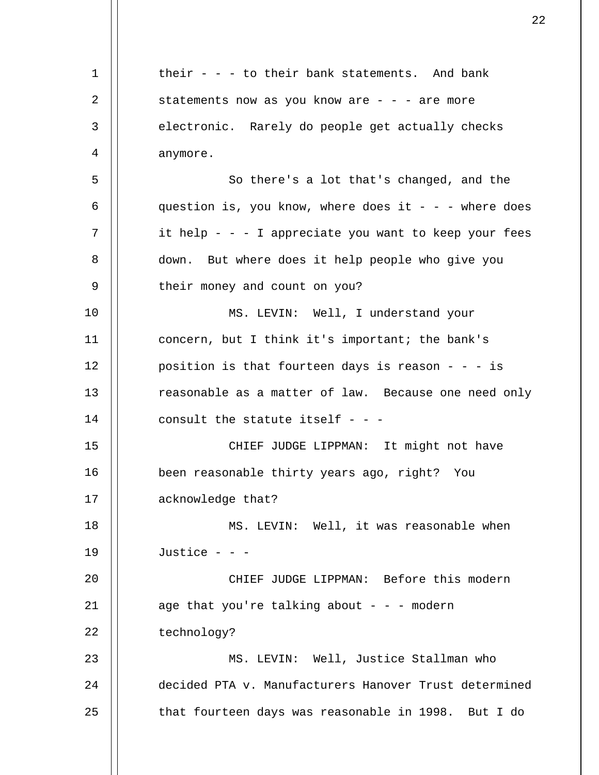1 2 3 4 5 6 7 8 9 10 11 12 13 14 15 16 17 18 19  $20^{\circ}$ 21 22 23 24 25 their  $-$  - to their bank statements. And bank statements now as you know are  $-$  -  $-$  are more electronic. Rarely do people get actually checks anymore. So there's a lot that's changed, and the question is, you know, where does it  $-$  - - where does it help - - - I appreciate you want to keep your fees down. But where does it help people who give you their money and count on you? MS. LEVIN: Well, I understand your concern, but I think it's important; the bank's position is that fourteen days is reason - - - is reasonable as a matter of law. Because one need only consult the statute itself  $-$  -CHIEF JUDGE LIPPMAN: It might not have been reasonable thirty years ago, right? You acknowledge that? MS. LEVIN: Well, it was reasonable when Justice - - - CHIEF JUDGE LIPPMAN: Before this modern age that you're talking about  $- -$  - modern technology? MS. LEVIN: Well, Justice Stallman who decided PTA v. Manufacturers Hanover Trust determined that fourteen days was reasonable in 1998. But I do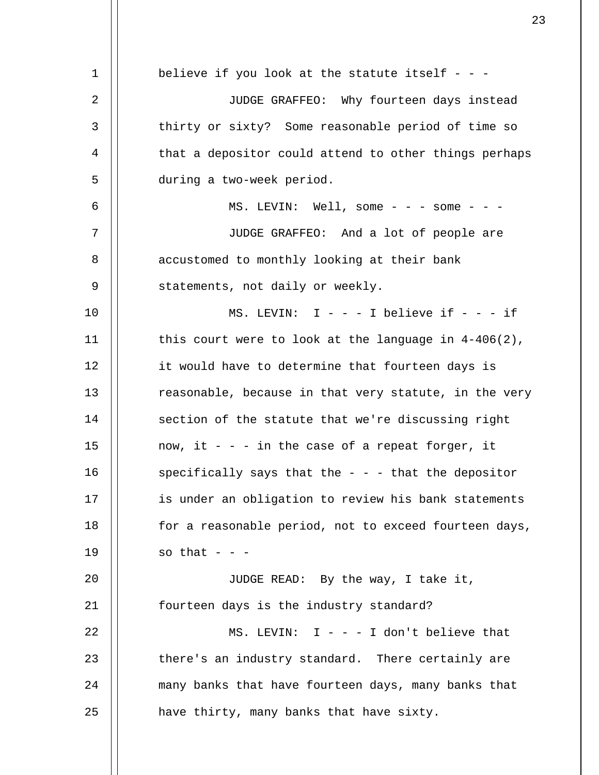1 2 3 4 5 6 7 8 9 10 11 12 13 14 15 16 17 18 19 20 21 22 23 24 25 believe if you look at the statute itself  $-$  -JUDGE GRAFFEO: Why fourteen days instead thirty or sixty? Some reasonable period of time so that a depositor could attend to other things perhaps during a two-week period. MS. LEVIN: Well, some  $-$  -  $-$  some  $-$  -  $-$ JUDGE GRAFFEO: And a lot of people are accustomed to monthly looking at their bank statements, not daily or weekly. MS. LEVIN:  $I - - - I$  believe if  $- - - i$ this court were to look at the language in  $4-406(2)$ , it would have to determine that fourteen days is reasonable, because in that very statute, in the very section of the statute that we're discussing right now, it  $-$  - in the case of a repeat forger, it specifically says that the  $-$  -  $-$  that the depositor is under an obligation to review his bank statements for a reasonable period, not to exceed fourteen days, so that  $-$ JUDGE READ: By the way, I take it, fourteen days is the industry standard? MS. LEVIN:  $I - - - I$  don't believe that there's an industry standard. There certainly are many banks that have fourteen days, many banks that have thirty, many banks that have sixty.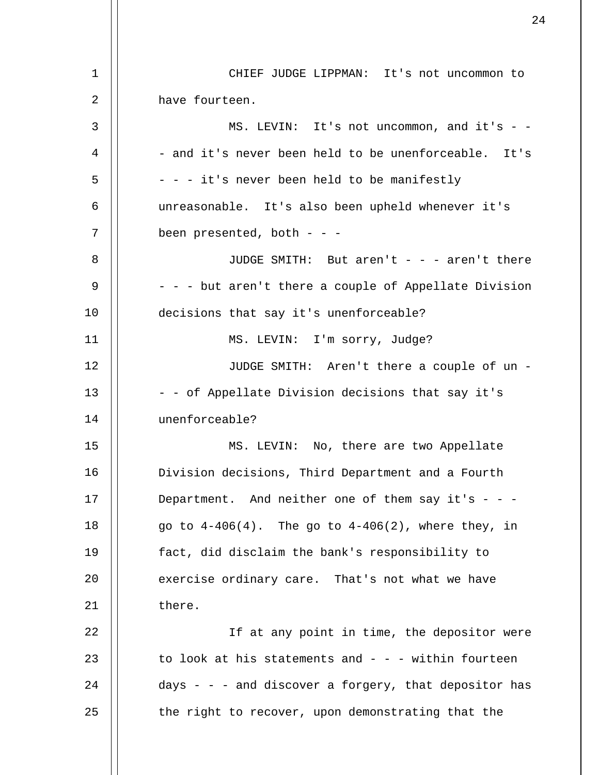| 1  | CHIEF JUDGE LIPPMAN: It's not uncommon to                |
|----|----------------------------------------------------------|
| 2  | have fourteen.                                           |
| 3  | MS. LEVIN: It's not uncommon, and it's - -               |
| 4  | - and it's never been held to be unenforceable. It's     |
| 5  | - - - it's never been held to be manifestly              |
| 6  | unreasonable. It's also been upheld whenever it's        |
| 7  | been presented, both - - -                               |
| 8  | JUDGE SMITH: But aren't - - - aren't there               |
| 9  | - - - but aren't there a couple of Appellate Division    |
| 10 | decisions that say it's unenforceable?                   |
| 11 | MS. LEVIN: I'm sorry, Judge?                             |
| 12 | JUDGE SMITH: Aren't there a couple of un -               |
| 13 | - - of Appellate Division decisions that say it's        |
| 14 | unenforceable?                                           |
| 15 | MS. LEVIN: No, there are two Appellate                   |
| 16 | Division decisions, Third Department and a Fourth        |
| 17 | Department. And neither one of them say it's - - -       |
| 18 | go to $4-406(4)$ . The go to $4-406(2)$ , where they, in |
| 19 | fact, did disclaim the bank's responsibility to          |
| 20 | exercise ordinary care. That's not what we have          |
| 21 | there.                                                   |
| 22 | If at any point in time, the depositor were              |
| 23 | to look at his statements and $-$ - $-$ within fourteen  |
| 24 | days - - - and discover a forgery, that depositor has    |
| 25 | the right to recover, upon demonstrating that the        |
|    |                                                          |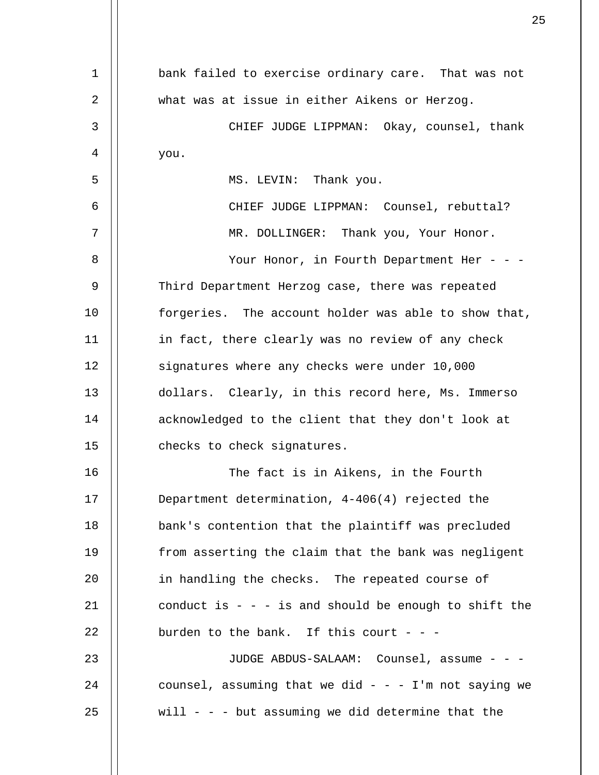| 1  | bank failed to exercise ordinary care. That was not   |
|----|-------------------------------------------------------|
| 2  | what was at issue in either Aikens or Herzog.         |
| 3  | CHIEF JUDGE LIPPMAN: Okay, counsel, thank             |
| 4  | you.                                                  |
| 5  | MS. LEVIN: Thank you.                                 |
| 6  | CHIEF JUDGE LIPPMAN: Counsel, rebuttal?               |
| 7  | MR. DOLLINGER: Thank you, Your Honor.                 |
| 8  | Your Honor, in Fourth Department Her - - -            |
| 9  | Third Department Herzog case, there was repeated      |
| 10 | forgeries. The account holder was able to show that,  |
| 11 | in fact, there clearly was no review of any check     |
| 12 | signatures where any checks were under 10,000         |
| 13 | dollars. Clearly, in this record here, Ms. Immerso    |
| 14 | acknowledged to the client that they don't look at    |
| 15 | checks to check signatures.                           |
| 16 | The fact is in Aikens, in the Fourth                  |
| 17 | Department determination, 4-406(4) rejected the       |
| 18 | bank's contention that the plaintiff was precluded    |
| 19 | from asserting the claim that the bank was negligent  |
| 20 | in handling the checks. The repeated course of        |
| 21 | conduct is $-$ - is and should be enough to shift the |
| 22 | burden to the bank. If this court - - -               |
| 23 | JUDGE ABDUS-SALAAM: Counsel, assume - - -             |
| 24 | counsel, assuming that we did - - - I'm not saying we |
| 25 | will - - - but assuming we did determine that the     |
|    |                                                       |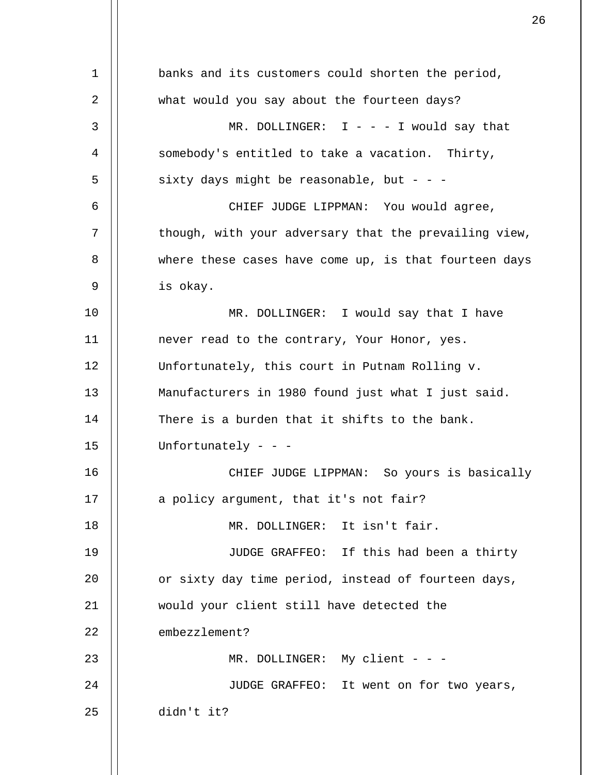1 2 3 4 5 6 7 8 9 10 11 12 13 14 15 16 17 18 19 20 21 22 23 24 25 banks and its customers could shorten the period, what would you say about the fourteen days? MR. DOLLINGER:  $I - - - I$  would say that somebody's entitled to take a vacation. Thirty, sixty days might be reasonable, but - - -CHIEF JUDGE LIPPMAN: You would agree, though, with your adversary that the prevailing view, where these cases have come up, is that fourteen days is okay. MR. DOLLINGER: I would say that I have never read to the contrary, Your Honor, yes. Unfortunately, this court in Putnam Rolling v. Manufacturers in 1980 found just what I just said. There is a burden that it shifts to the bank. Unfortunately - - - CHIEF JUDGE LIPPMAN: So yours is basically a policy argument, that it's not fair? MR. DOLLINGER: It isn't fair. JUDGE GRAFFEO: If this had been a thirty or sixty day time period, instead of fourteen days, would your client still have detected the embezzlement? MR. DOLLINGER: My client - - -JUDGE GRAFFEO: It went on for two years, didn't it?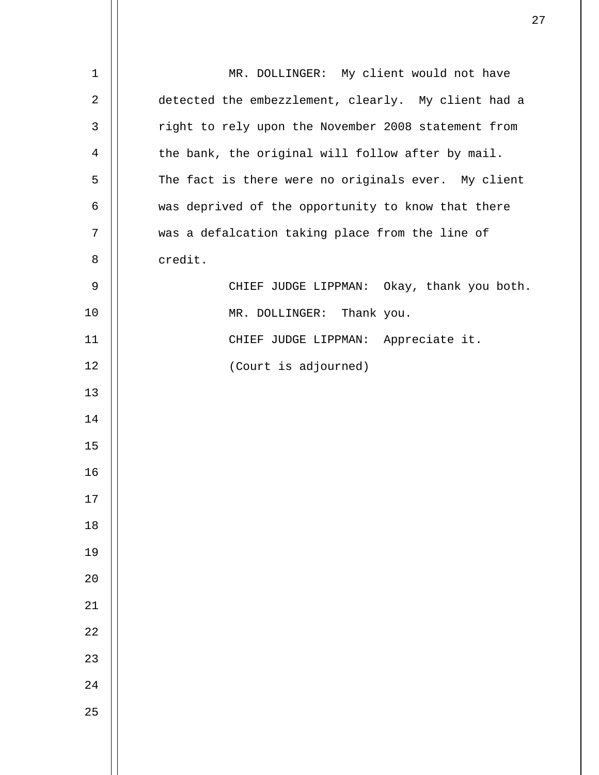| $\mathbf 1$ | MR. DOLLINGER: My client would not have             |
|-------------|-----------------------------------------------------|
| 2           | detected the embezzlement, clearly. My client had a |
| 3           | right to rely upon the November 2008 statement from |
| 4           | the bank, the original will follow after by mail.   |
| 5           | The fact is there were no originals ever. My client |
| 6           | was deprived of the opportunity to know that there  |
| 7           | was a defalcation taking place from the line of     |
| 8           | credit.                                             |
| 9           | CHIEF JUDGE LIPPMAN: Okay, thank you both.          |
| 10          | MR. DOLLINGER: Thank you.                           |
| 11          | CHIEF JUDGE LIPPMAN: Appreciate it.                 |
| 12          | (Court is adjourned)                                |
| 13          |                                                     |
| 14          |                                                     |
| 15          |                                                     |
| 16          |                                                     |
| $17$        |                                                     |
| 18          |                                                     |
| 19          |                                                     |
| $20$        |                                                     |
| $21\,$      |                                                     |
| 22          |                                                     |
| 23          |                                                     |
| $2\sqrt{4}$ |                                                     |
| 25          |                                                     |
|             |                                                     |